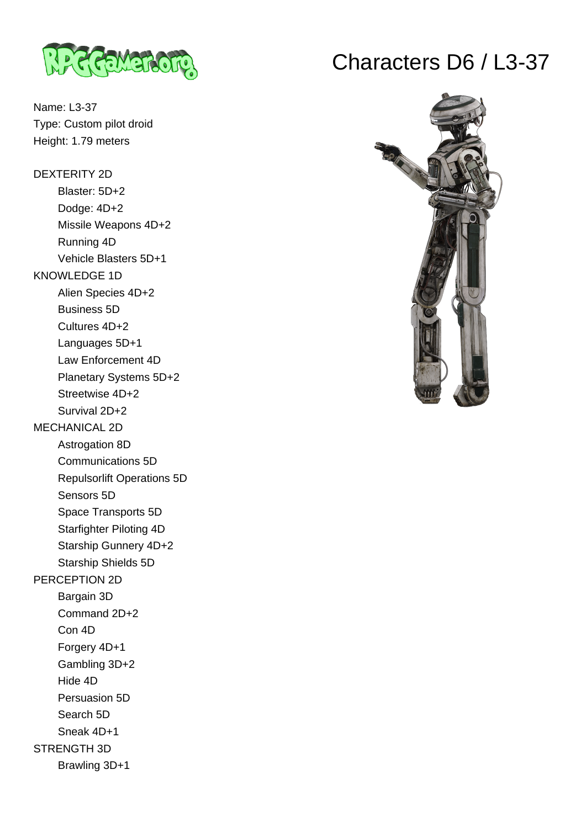

Name: L3-37 Type: Custom pilot droid Height: 1.79 meters

DEXTERITY 2D Blaster: 5D+2 Dodge: 4D+2 Missile Weapons 4D+2 Running 4D Vehicle Blasters 5D+1 KNOWLEDGE 1D Alien Species 4D+2 Business 5D Cultures 4D+2 Languages 5D+1 Law Enforcement 4D Planetary Systems 5D+2 Streetwise 4D+2 Survival 2D+2 MECHANICAL 2D Astrogation 8D Communications 5D Repulsorlift Operations 5D Sensors 5D Space Transports 5D Starfighter Piloting 4D Starship Gunnery 4D+2 Starship Shields 5D PERCEPTION 2D Bargain 3D Command 2D+2 Con 4D Forgery 4D+1 Gambling 3D+2 Hide 4D Persuasion 5D Search 5D Sneak 4D+1 STRENGTH 3D Brawling 3D+1

## Characters D6 / L3-37

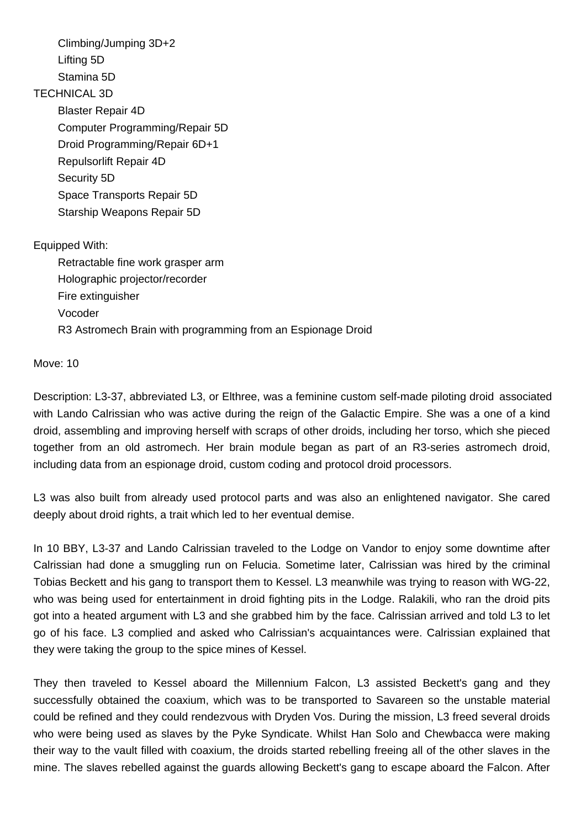Climbing/Jumping 3D+2 Lifting 5D Stamina 5D TECHNICAL 3D Blaster Repair 4D Computer Programming/Repair 5D Droid Programming/Repair 6D+1 Repulsorlift Repair 4D Security 5D Space Transports Repair 5D Starship Weapons Repair 5D Equipped With: Retractable fine work grasper arm Holographic projector/recorder Fire extinguisher

Vocoder

R3 Astromech Brain with programming from an Espionage Droid

Move: 10

Description: L3-37, abbreviated L3, or Elthree, was a feminine custom self-made piloting droid associated with Lando Calrissian who was active during the reign of the Galactic Empire. She was a one of a kind droid, assembling and improving herself with scraps of other droids, including her torso, which she pieced together from an old astromech. Her brain module began as part of an R3-series astromech droid, including data from an espionage droid, custom coding and protocol droid processors.

L3 was also built from already used protocol parts and was also an enlightened navigator. She cared deeply about droid rights, a trait which led to her eventual demise.

In 10 BBY, L3-37 and Lando Calrissian traveled to the Lodge on Vandor to enjoy some downtime after Calrissian had done a smuggling run on Felucia. Sometime later, Calrissian was hired by the criminal Tobias Beckett and his gang to transport them to Kessel. L3 meanwhile was trying to reason with WG-22, who was being used for entertainment in droid fighting pits in the Lodge. Ralakili, who ran the droid pits got into a heated argument with L3 and she grabbed him by the face. Calrissian arrived and told L3 to let go of his face. L3 complied and asked who Calrissian's acquaintances were. Calrissian explained that they were taking the group to the spice mines of Kessel.

They then traveled to Kessel aboard the Millennium Falcon, L3 assisted Beckett's gang and they successfully obtained the coaxium, which was to be transported to Savareen so the unstable material could be refined and they could rendezvous with Dryden Vos. During the mission, L3 freed several droids who were being used as slaves by the Pyke Syndicate. Whilst Han Solo and Chewbacca were making their way to the vault filled with coaxium, the droids started rebelling freeing all of the other slaves in the mine. The slaves rebelled against the guards allowing Beckett's gang to escape aboard the Falcon. After